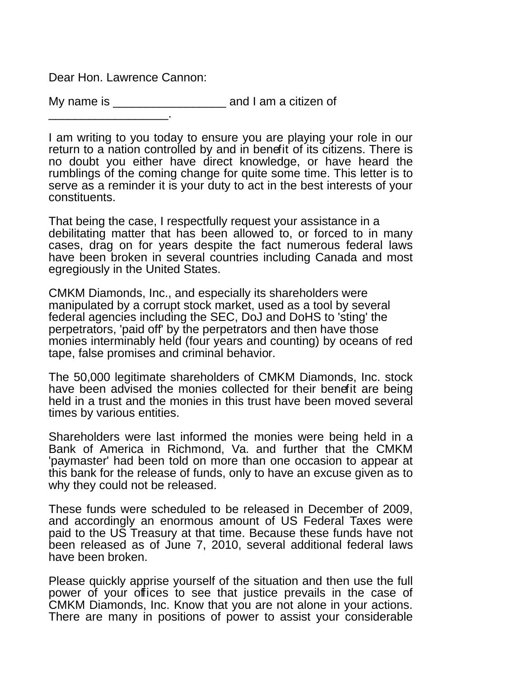Dear Hon. Lawrence Cannon:

My name is \_\_\_\_\_\_\_\_\_\_\_\_\_\_\_\_\_\_\_\_\_\_\_\_\_ and I am a citizen of \_\_\_\_\_\_\_\_\_\_\_\_\_\_\_\_\_\_.

I am writing to you today to ensure you are playing your role in our return to a nation controlled by and in benefit of its citizens. There is no doubt you either have direct knowledge, or have heard the rumblings of the coming change for quite some time. This letter is to serve as a reminder it is your duty to act in the best interests of your constituents.

That being the case, I respectfully request your assistance in a debilitating matter that has been allowed to, or forced to in many cases, drag on for years despite the fact numerous federal laws have been broken in several countries including Canada and most egregiously in the United States.

CMKM Diamonds, Inc., and especially its shareholders were manipulated by a corrupt stock market, used as a tool by several federal agencies including the SEC, DoJ and DoHS to 'sting' the perpetrators, 'paid off' by the perpetrators and then have those monies interminably held (four years and counting) by oceans of red tape, false promises and criminal behavior.

The 50,000 legitimate shareholders of CMKM Diamonds, Inc. stock have been advised the monies collected for their benefit are being held in a trust and the monies in this trust have been moved several times by various entities.

Shareholders were last informed the monies were being held in a Bank of America in Richmond, Va. and further that the CMKM 'paymaster' had been told on more than one occasion to appear at this bank for the release of funds, only to have an excuse given as to why they could not be released.

These funds were scheduled to be released in December of 2009, and accordingly an enormous amount of US Federal Taxes were paid to the US Treasury at that time. Because these funds have not been released as of June 7, 2010, several additional federal laws have been broken.

Please quickly apprise yourself of the situation and then use the full power of your offices to see that justice prevails in the case of CMKM Diamonds, Inc. Know that you are not alone in your actions. There are many in positions of power to assist your considerable